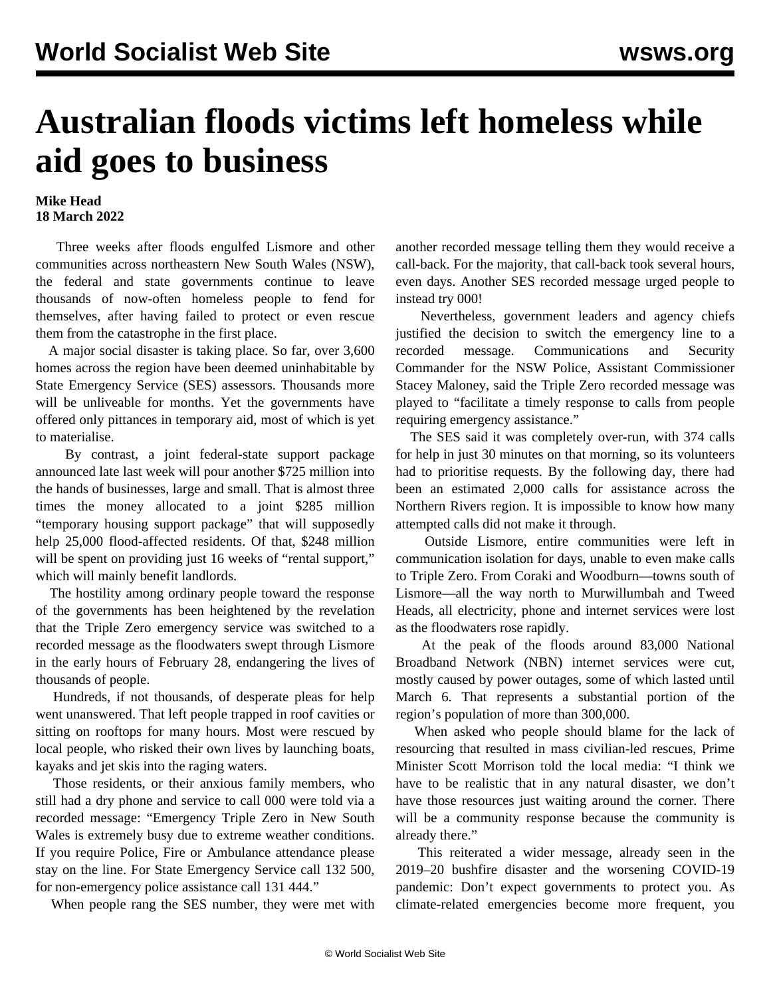## **Australian floods victims left homeless while aid goes to business**

## **Mike Head 18 March 2022**

 Three weeks after floods engulfed Lismore and other communities across northeastern New South Wales (NSW), the federal and state governments continue to leave thousands of now-often homeless people to fend for themselves, after having failed to protect or even rescue them from the catastrophe in the first place.

 A major social disaster is taking place. So far, over 3,600 homes across the region have been deemed uninhabitable by State Emergency Service (SES) assessors. Thousands more will be unliveable for months. Yet the governments have offered only pittances in temporary aid, most of which is yet to materialise.

 By contrast, a joint federal-state support package announced late last week will pour another \$725 million into the hands of businesses, large and small. That is almost three times the money allocated to a joint \$285 million "temporary housing support package" that will supposedly help 25,000 flood-affected residents. Of that, \$248 million will be spent on providing just 16 weeks of "rental support," which will mainly benefit landlords.

 The hostility among ordinary people toward the response of the governments has been heightened by the revelation that the Triple Zero emergency service was switched to a recorded message as the floodwaters swept through Lismore in the early hours of February 28, endangering the lives of thousands of people.

 Hundreds, if not thousands, of desperate pleas for help went unanswered. That left people trapped in roof cavities or sitting on rooftops for many hours. Most were rescued by local people, who risked their own lives by launching boats, kayaks and jet skis into the raging waters.

 Those residents, or their anxious family members, who still had a dry phone and service to call 000 were told via a recorded message: "Emergency Triple Zero in New South Wales is extremely busy due to extreme weather conditions. If you require Police, Fire or Ambulance attendance please stay on the line. For State Emergency Service call 132 500, for non-emergency police assistance call 131 444."

When people rang the SES number, they were met with

another recorded message telling them they would receive a call-back. For the majority, that call-back took several hours, even days. Another SES recorded message urged people to instead try 000!

 Nevertheless, government leaders and agency chiefs justified the decision to switch the emergency line to a recorded message. Communications and Security Commander for the NSW Police, Assistant Commissioner Stacey Maloney, said the Triple Zero recorded message was played to "facilitate a timely response to calls from people requiring emergency assistance."

 The SES said it was completely over-run, with 374 calls for help in just 30 minutes on that morning, so its volunteers had to prioritise requests. By the following day, there had been an estimated 2,000 calls for assistance across the Northern Rivers region. It is impossible to know how many attempted calls did not make it through.

 Outside Lismore, entire communities were left in communication isolation for days, unable to even make calls to Triple Zero. From Coraki and Woodburn—towns south of Lismore—all the way north to Murwillumbah and Tweed Heads, all electricity, phone and internet services were lost as the floodwaters rose rapidly.

 At the peak of the floods around 83,000 National Broadband Network (NBN) internet services were cut, mostly caused by power outages, some of which lasted until March 6. That represents a substantial portion of the region's population of more than 300,000.

 When asked who people should blame for the lack of resourcing that resulted in mass civilian-led rescues, Prime Minister Scott Morrison told the local media: "I think we have to be realistic that in any natural disaster, we don't have those resources just waiting around the corner. There will be a community response because the community is already there."

 This reiterated a wider message, already seen in the 2019–20 bushfire disaster and the worsening COVID-19 pandemic: Don't expect governments to protect you. As climate-related emergencies become more frequent, you